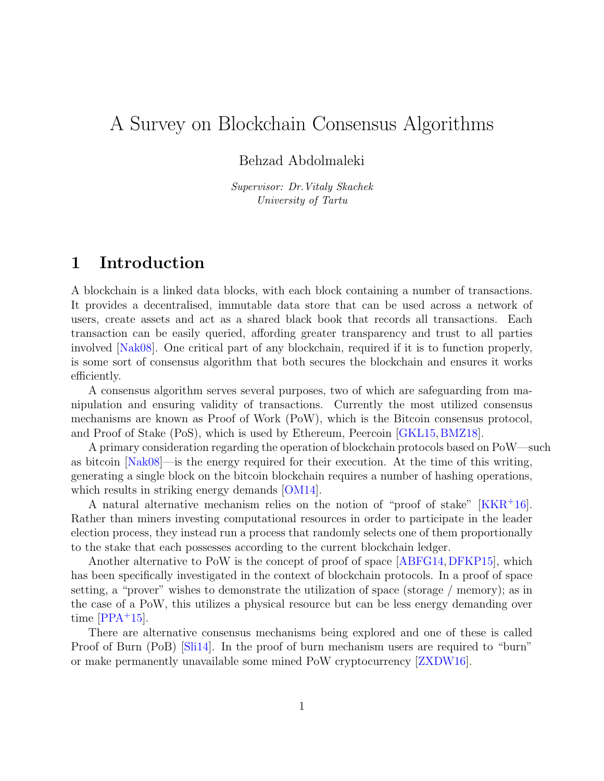# A Survey on Blockchain Consensus Algorithms

#### Behzad Abdolmaleki

Supervisor: Dr.Vitaly Skachek University of Tartu

### 1 Introduction

A blockchain is a linked data blocks, with each block containing a number of transactions. It provides a decentralised, immutable data store that can be used across a network of users, create assets and act as a shared black book that records all transactions. Each transaction can be easily queried, affording greater transparency and trust to all parties involved [\[Nak08\]](#page-9-0). One critical part of any blockchain, required if it is to function properly, is some sort of consensus algorithm that both secures the blockchain and ensures it works efficiently.

A consensus algorithm serves several purposes, two of which are safeguarding from manipulation and ensuring validity of transactions. Currently the most utilized consensus mechanisms are known as Proof of Work (PoW), which is the Bitcoin consensus protocol, and Proof of Stake (PoS), which is used by Ethereum, Peercoin [\[GKL15,](#page-9-1)[BMZ18\]](#page-9-2).

A primary consideration regarding the operation of blockchain protocols based on PoW—such as bitcoin [\[Nak08\]](#page-9-0)—is the energy required for their execution. At the time of this writing, generating a single block on the bitcoin blockchain requires a number of hashing operations, which results in striking energy demands [\[OM14\]](#page-10-0).

A natural alternative mechanism relies on the notion of "proof of stake" [\[KKR](#page-9-3)<sup>+</sup>16]. Rather than miners investing computational resources in order to participate in the leader election process, they instead run a process that randomly selects one of them proportionally to the stake that each possesses according to the current blockchain ledger.

Another alternative to PoW is the concept of proof of space [\[ABFG14,](#page-9-4)[DFKP15\]](#page-9-5), which has been specifically investigated in the context of blockchain protocols. In a proof of space setting, a "prover" wishes to demonstrate the utilization of space (storage / memory); as in the case of a PoW, this utilizes a physical resource but can be less energy demanding over time  $[PPA+15]$  $[PPA+15]$ .

There are alternative consensus mechanisms being explored and one of these is called Proof of Burn (PoB) [\[Sli14\]](#page-10-2). In the proof of burn mechanism users are required to "burn" or make permanently unavailable some mined PoW cryptocurrency [\[ZXDW16\]](#page-10-3).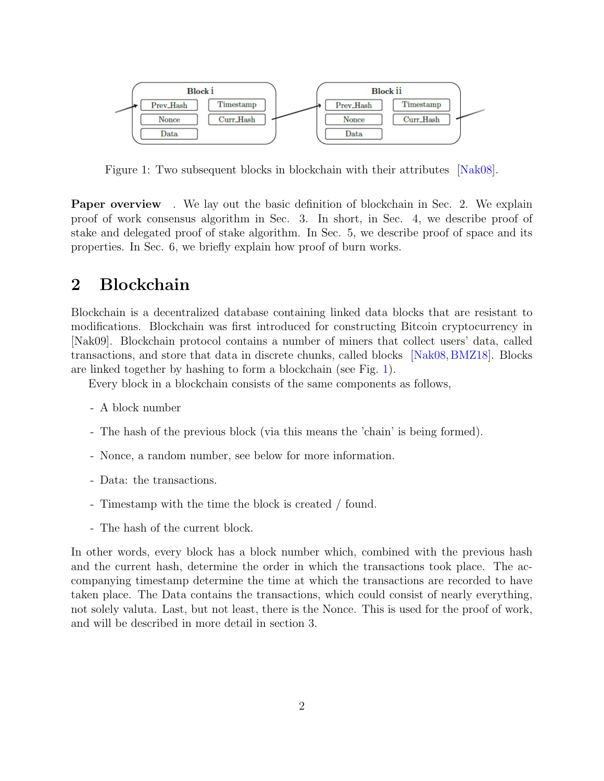

<span id="page-1-0"></span>Figure 1: Two subsequent blocks in blockchain with their attributes [\[Nak08\]](#page-9-0).

Paper overview . We lay out the basic definition of blockchain in Sec. 2. We explain proof of work consensus algorithm in Sec. 3. In short, in Sec. 4, we describe proof of stake and delegated proof of stake algorithm. In Sec. 5, we describe proof of space and its properties. In Sec. 6, we briefly explain how proof of burn works.

### 2 Blockchain

Blockchain is a decentralized database containing linked data blocks that are resistant to modifications. Blockchain was first introduced for constructing Bitcoin cryptocurrency in [Nak09]. Blockchain protocol contains a number of miners that collect users' data, called transactions, and store that data in discrete chunks, called blocks [\[Nak08,](#page-9-0)[BMZ18\]](#page-9-2). Blocks are linked together by hashing to form a blockchain (see Fig. [1\)](#page-1-0).

Every block in a blockchain consists of the same components as follows,

- A block number
- The hash of the previous block (via this means the 'chain' is being formed).
- Nonce, a random number, see below for more information.
- Data: the transactions.
- Timestamp with the time the block is created / found.
- The hash of the current block.

In other words, every block has a block number which, combined with the previous hash and the current hash, determine the order in which the transactions took place. The accompanying timestamp determine the time at which the transactions are recorded to have taken place. The Data contains the transactions, which could consist of nearly everything, not solely valuta. Last, but not least, there is the Nonce. This is used for the proof of work, and will be described in more detail in section 3.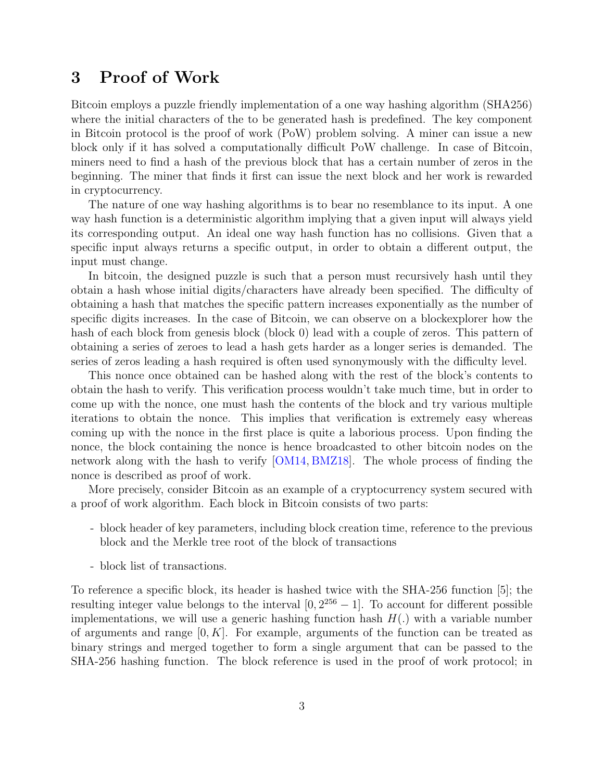# 3 Proof of Work

Bitcoin employs a puzzle friendly implementation of a one way hashing algorithm (SHA256) where the initial characters of the to be generated hash is predefined. The key component in Bitcoin protocol is the proof of work (PoW) problem solving. A miner can issue a new block only if it has solved a computationally difficult PoW challenge. In case of Bitcoin, miners need to find a hash of the previous block that has a certain number of zeros in the beginning. The miner that finds it first can issue the next block and her work is rewarded in cryptocurrency.

The nature of one way hashing algorithms is to bear no resemblance to its input. A one way hash function is a deterministic algorithm implying that a given input will always yield its corresponding output. An ideal one way hash function has no collisions. Given that a specific input always returns a specific output, in order to obtain a different output, the input must change.

In bitcoin, the designed puzzle is such that a person must recursively hash until they obtain a hash whose initial digits/characters have already been specified. The difficulty of obtaining a hash that matches the specific pattern increases exponentially as the number of specific digits increases. In the case of Bitcoin, we can observe on a blockexplorer how the hash of each block from genesis block (block 0) lead with a couple of zeros. This pattern of obtaining a series of zeroes to lead a hash gets harder as a longer series is demanded. The series of zeros leading a hash required is often used synonymously with the difficulty level.

This nonce once obtained can be hashed along with the rest of the block's contents to obtain the hash to verify. This verification process wouldn't take much time, but in order to come up with the nonce, one must hash the contents of the block and try various multiple iterations to obtain the nonce. This implies that verification is extremely easy whereas coming up with the nonce in the first place is quite a laborious process. Upon finding the nonce, the block containing the nonce is hence broadcasted to other bitcoin nodes on the network along with the hash to verify [\[OM14,](#page-10-0) [BMZ18\]](#page-9-2). The whole process of finding the nonce is described as proof of work.

More precisely, consider Bitcoin as an example of a cryptocurrency system secured with a proof of work algorithm. Each block in Bitcoin consists of two parts:

- block header of key parameters, including block creation time, reference to the previous block and the Merkle tree root of the block of transactions
- block list of transactions.

To reference a specific block, its header is hashed twice with the SHA-256 function [5]; the resulting integer value belongs to the interval  $[0, 2^{256} - 1]$ . To account for different possible implementations, we will use a generic hashing function hash  $H(.)$  with a variable number of arguments and range  $[0, K]$ . For example, arguments of the function can be treated as binary strings and merged together to form a single argument that can be passed to the SHA-256 hashing function. The block reference is used in the proof of work protocol; in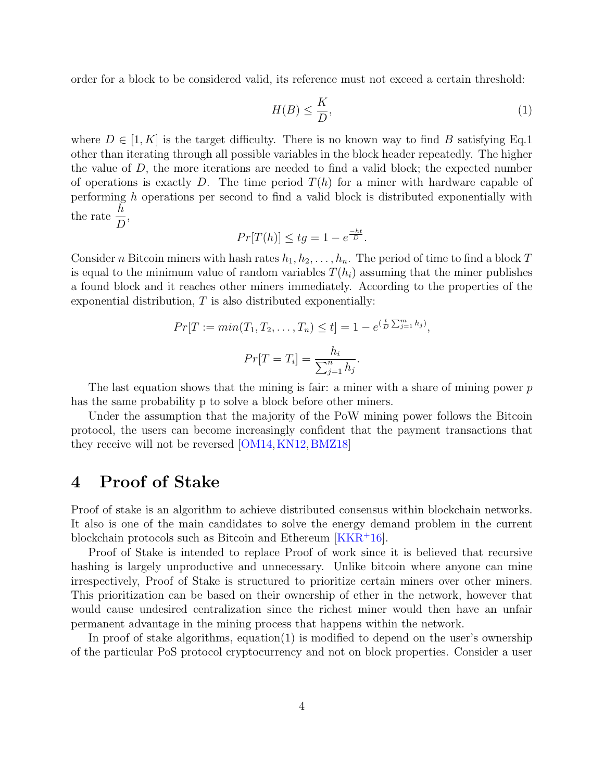order for a block to be considered valid, its reference must not exceed a certain threshold:

$$
H(B) \le \frac{K}{D},\tag{1}
$$

where  $D \in [1, K]$  is the target difficulty. There is no known way to find B satisfying Eq.1 other than iterating through all possible variables in the block header repeatedly. The higher the value of D, the more iterations are needed to find a valid block; the expected number of operations is exactly D. The time period  $T(h)$  for a miner with hardware capable of performing h operations per second to find a valid block is distributed exponentially with the rate  $\frac{h}{E}$ D ,

$$
Pr[T(h)] \le tg = 1 - e^{\frac{-ht}{D}}.
$$

Consider n Bitcoin miners with hash rates  $h_1, h_2, \ldots, h_n$ . The period of time to find a block T is equal to the minimum value of random variables  $T(h_i)$  assuming that the miner publishes a found block and it reaches other miners immediately. According to the properties of the exponential distribution,  $T$  is also distributed exponentially:

$$
Pr[T := min(T_1, T_2, ..., T_n) \le t] = 1 - e^{(\frac{t}{D} \sum_{j=1}^{m} h_j)},
$$

$$
Pr[T = T_i] = \frac{h_i}{\sum_{j=1}^{n} h_j}.
$$

The last equation shows that the mining is fair: a miner with a share of mining power  $p$ has the same probability p to solve a block before other miners.

Under the assumption that the majority of the PoW mining power follows the Bitcoin protocol, the users can become increasingly confident that the payment transactions that they receive will not be reversed [\[OM14,](#page-10-0) [KN12,](#page-9-6) [BMZ18\]](#page-9-2)

### 4 Proof of Stake

Proof of stake is an algorithm to achieve distributed consensus within blockchain networks. It also is one of the main candidates to solve the energy demand problem in the current blockchain protocols such as Bitcoin and Ethereum [\[KKR](#page-9-3)<sup>+</sup>16].

Proof of Stake is intended to replace Proof of work since it is believed that recursive hashing is largely unproductive and unnecessary. Unlike bitcoin where anyone can mine irrespectively, Proof of Stake is structured to prioritize certain miners over other miners. This prioritization can be based on their ownership of ether in the network, however that would cause undesired centralization since the richest miner would then have an unfair permanent advantage in the mining process that happens within the network.

In proof of stake algorithms, equation(1) is modified to depend on the user's ownership of the particular PoS protocol cryptocurrency and not on block properties. Consider a user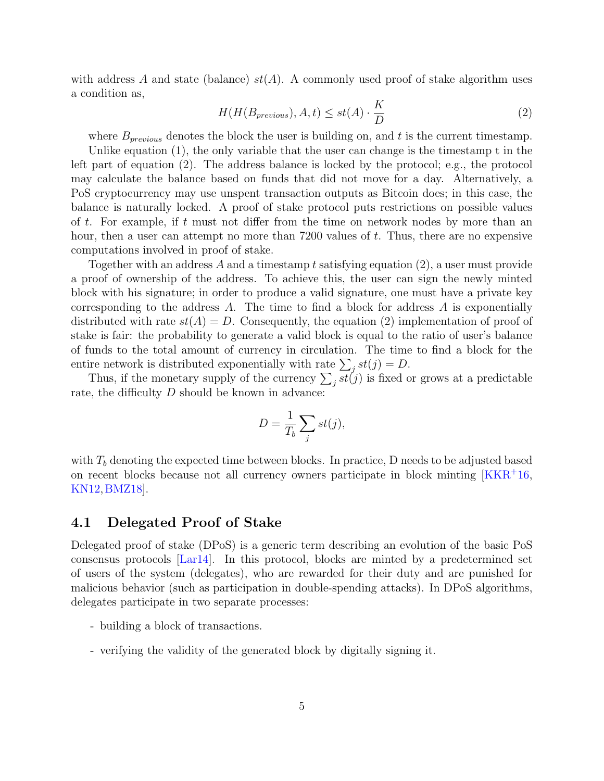with address A and state (balance)  $st(A)$ . A commonly used proof of stake algorithm uses a condition as,

$$
H(H(B_{previous}), A, t) \le st(A) \cdot \frac{K}{D}
$$
\n<sup>(2)</sup>

where  $B_{previous}$  denotes the block the user is building on, and t is the current timestamp.

Unlike equation (1), the only variable that the user can change is the timestamp t in the left part of equation (2). The address balance is locked by the protocol; e.g., the protocol may calculate the balance based on funds that did not move for a day. Alternatively, a PoS cryptocurrency may use unspent transaction outputs as Bitcoin does; in this case, the balance is naturally locked. A proof of stake protocol puts restrictions on possible values of t. For example, if t must not differ from the time on network nodes by more than an hour, then a user can attempt no more than 7200 values of t. Thus, there are no expensive computations involved in proof of stake.

Together with an address A and a timestamp t satisfying equation  $(2)$ , a user must provide a proof of ownership of the address. To achieve this, the user can sign the newly minted block with his signature; in order to produce a valid signature, one must have a private key corresponding to the address  $A$ . The time to find a block for address  $A$  is exponentially distributed with rate  $st(A) = D$ . Consequently, the equation (2) implementation of proof of stake is fair: the probability to generate a valid block is equal to the ratio of user's balance of funds to the total amount of currency in circulation. The time to find a block for the entire network is distributed exponentially with rate  $\sum_j st(j) = D$ .

Thus, if the monetary supply of the currency  $\sum_j st(j)$  is fixed or grows at a predictable rate, the difficulty  $D$  should be known in advance:

$$
D = \frac{1}{T_b} \sum_j st(j),
$$

with  $T<sub>b</sub>$  denoting the expected time between blocks. In practice, D needs to be adjusted based on recent blocks because not all currency owners participate in block minting [\[KKR](#page-9-3)<sup>+</sup>16, [KN12,](#page-9-6)[BMZ18\]](#page-9-2).

#### 4.1 Delegated Proof of Stake

Delegated proof of stake (DPoS) is a generic term describing an evolution of the basic PoS consensus protocols [\[Lar14\]](#page-9-7). In this protocol, blocks are minted by a predetermined set of users of the system (delegates), who are rewarded for their duty and are punished for malicious behavior (such as participation in double-spending attacks). In DPoS algorithms, delegates participate in two separate processes:

- building a block of transactions.
- verifying the validity of the generated block by digitally signing it.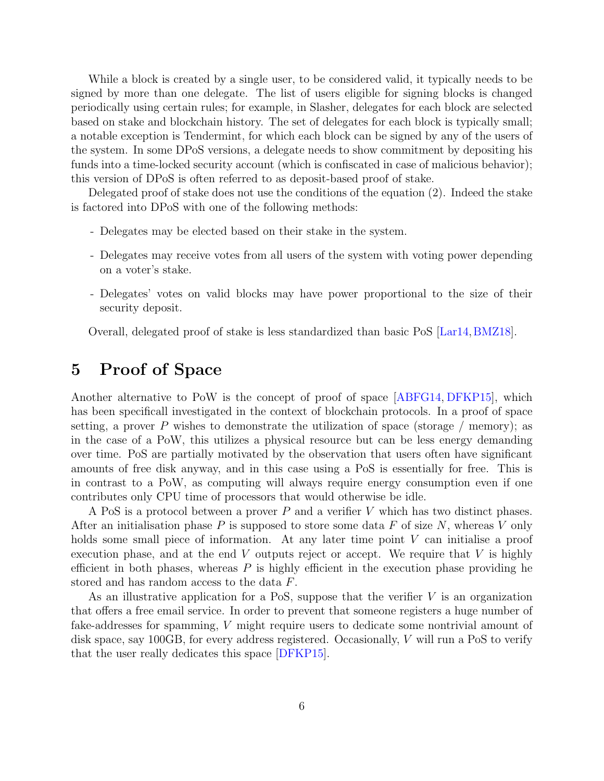While a block is created by a single user, to be considered valid, it typically needs to be signed by more than one delegate. The list of users eligible for signing blocks is changed periodically using certain rules; for example, in Slasher, delegates for each block are selected based on stake and blockchain history. The set of delegates for each block is typically small; a notable exception is Tendermint, for which each block can be signed by any of the users of the system. In some DPoS versions, a delegate needs to show commitment by depositing his funds into a time-locked security account (which is confiscated in case of malicious behavior); this version of DPoS is often referred to as deposit-based proof of stake.

Delegated proof of stake does not use the conditions of the equation (2). Indeed the stake is factored into DPoS with one of the following methods:

- Delegates may be elected based on their stake in the system.
- Delegates may receive votes from all users of the system with voting power depending on a voter's stake.
- Delegates' votes on valid blocks may have power proportional to the size of their security deposit.

Overall, delegated proof of stake is less standardized than basic PoS [\[Lar14,](#page-9-7)[BMZ18\]](#page-9-2).

# 5 Proof of Space

Another alternative to PoW is the concept of proof of space [\[ABFG14,](#page-9-4) [DFKP15\]](#page-9-5), which has been specificall investigated in the context of blockchain protocols. In a proof of space setting, a prover P wishes to demonstrate the utilization of space (storage  $/$  memory); as in the case of a PoW, this utilizes a physical resource but can be less energy demanding over time. PoS are partially motivated by the observation that users often have significant amounts of free disk anyway, and in this case using a PoS is essentially for free. This is in contrast to a PoW, as computing will always require energy consumption even if one contributes only CPU time of processors that would otherwise be idle.

A PoS is a protocol between a prover  $P$  and a verifier  $V$  which has two distinct phases. After an initialisation phase  $P$  is supposed to store some data  $F$  of size  $N$ , whereas  $V$  only holds some small piece of information. At any later time point V can initialise a proof execution phase, and at the end  $V$  outputs reject or accept. We require that  $V$  is highly efficient in both phases, whereas  $P$  is highly efficient in the execution phase providing he stored and has random access to the data F.

As an illustrative application for a PoS, suppose that the verifier  $V$  is an organization that offers a free email service. In order to prevent that someone registers a huge number of fake-addresses for spamming, V might require users to dedicate some nontrivial amount of disk space, say 100GB, for every address registered. Occasionally, V will run a PoS to verify that the user really dedicates this space [\[DFKP15\]](#page-9-5).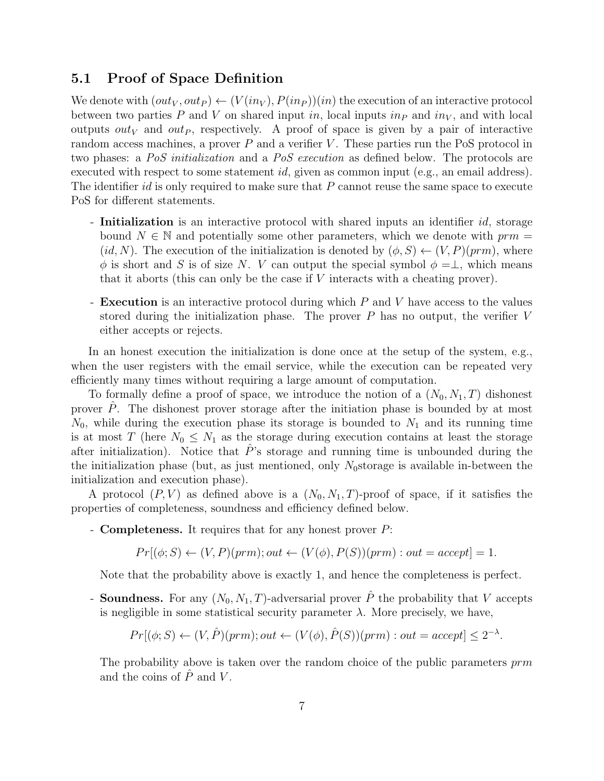#### 5.1 Proof of Space Definition

We denote with  $(out_V, out_P) \leftarrow (V(in_V), P(in_P))(in)$  the execution of an interactive protocol between two parties P and V on shared input in, local inputs in p and  $in_V$ , and with local outputs out<sub>V</sub> and out<sub>P</sub>, respectively. A proof of space is given by a pair of interactive random access machines, a prover  $P$  and a verifier  $V$ . These parties run the PoS protocol in two phases: a PoS initialization and a PoS execution as defined below. The protocols are executed with respect to some statement *id*, given as common input (e.g., an email address). The identifier id is only required to make sure that  $P$  cannot reuse the same space to execute PoS for different statements.

- Initialization is an interactive protocol with shared inputs an identifier id, storage bound  $N \in \mathbb{N}$  and potentially some other parameters, which we denote with  $\text{prm} =$ (id, N). The execution of the initialization is denoted by  $(\phi, S) \leftarrow (V, P)(prim)$ , where  $\phi$  is short and S is of size N. V can output the special symbol  $\phi = \perp$ , which means that it aborts (this can only be the case if  $V$  interacts with a cheating prover).
- **Execution** is an interactive protocol during which P and V have access to the values stored during the initialization phase. The prover  $P$  has no output, the verifier  $V$ either accepts or rejects.

In an honest execution the initialization is done once at the setup of the system, e.g., when the user registers with the email service, while the execution can be repeated very efficiently many times without requiring a large amount of computation.

To formally define a proof of space, we introduce the notion of a  $(N_0, N_1, T)$  dishonest prover  $P$ . The dishonest prover storage after the initiation phase is bounded by at most  $N_0$ , while during the execution phase its storage is bounded to  $N_1$  and its running time is at most T (here  $N_0 \leq N_1$  as the storage during execution contains at least the storage after initialization). Notice that  $\hat{P}$ 's storage and running time is unbounded during the the initialization phase (but, as just mentioned, only  $N_0$ storage is available in-between the initialization and execution phase).

A protocol  $(P, V)$  as defined above is a  $(N_0, N_1, T)$ -proof of space, if it satisfies the properties of completeness, soundness and efficiency defined below.

- Completeness. It requires that for any honest prover P:

$$
Pr[(\phi; S) \leftarrow (V, P)(prm); out \leftarrow (V(\phi), P(S))(prm) : out = accept] = 1.
$$

Note that the probability above is exactly 1, and hence the completeness is perfect.

- **Soundness.** For any  $(N_0, N_1, T)$ -adversarial prover  $\hat{P}$  the probability that V accepts is negligible in some statistical security parameter  $\lambda$ . More precisely, we have,

$$
Pr[(\phi; S) \leftarrow (V, \hat{P})(prm); out \leftarrow (V(\phi), \hat{P}(S))(prm): out = accept] \leq 2^{-\lambda}.
$$

The probability above is taken over the random choice of the public parameters prm and the coins of  $\hat{P}$  and  $V$ .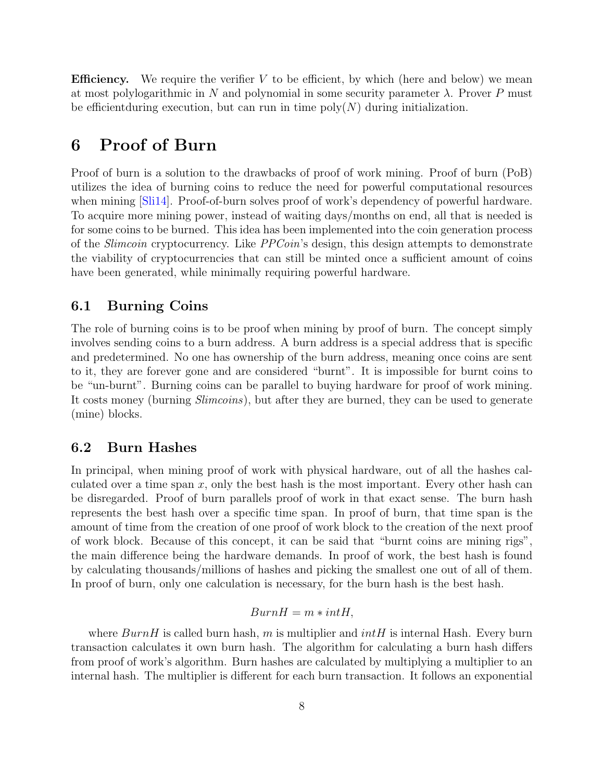**Efficiency.** We require the verifier  $V$  to be efficient, by which (here and below) we mean at most polylogarithmic in N and polynomial in some security parameter  $\lambda$ . Prover P must be efficient during execution, but can run in time  $poly(N)$  during initialization.

# 6 Proof of Burn

Proof of burn is a solution to the drawbacks of proof of work mining. Proof of burn (PoB) utilizes the idea of burning coins to reduce the need for powerful computational resources when mining [\[Sli14\]](#page-10-2). Proof-of-burn solves proof of work's dependency of powerful hardware. To acquire more mining power, instead of waiting days/months on end, all that is needed is for some coins to be burned. This idea has been implemented into the coin generation process of the Slimcoin cryptocurrency. Like PPCoin's design, this design attempts to demonstrate the viability of cryptocurrencies that can still be minted once a sufficient amount of coins have been generated, while minimally requiring powerful hardware.

#### 6.1 Burning Coins

The role of burning coins is to be proof when mining by proof of burn. The concept simply involves sending coins to a burn address. A burn address is a special address that is specific and predetermined. No one has ownership of the burn address, meaning once coins are sent to it, they are forever gone and are considered "burnt". It is impossible for burnt coins to be "un-burnt". Burning coins can be parallel to buying hardware for proof of work mining. It costs money (burning *Slimcoins*), but after they are burned, they can be used to generate (mine) blocks.

#### 6.2 Burn Hashes

In principal, when mining proof of work with physical hardware, out of all the hashes calculated over a time span  $x$ , only the best hash is the most important. Every other hash can be disregarded. Proof of burn parallels proof of work in that exact sense. The burn hash represents the best hash over a specific time span. In proof of burn, that time span is the amount of time from the creation of one proof of work block to the creation of the next proof of work block. Because of this concept, it can be said that "burnt coins are mining rigs", the main difference being the hardware demands. In proof of work, the best hash is found by calculating thousands/millions of hashes and picking the smallest one out of all of them. In proof of burn, only one calculation is necessary, for the burn hash is the best hash.

#### $BurnH = m * intH$ .

where  $BurnH$  is called burn hash, m is multiplier and  $intH$  is internal Hash. Every burn transaction calculates it own burn hash. The algorithm for calculating a burn hash differs from proof of work's algorithm. Burn hashes are calculated by multiplying a multiplier to an internal hash. The multiplier is different for each burn transaction. It follows an exponential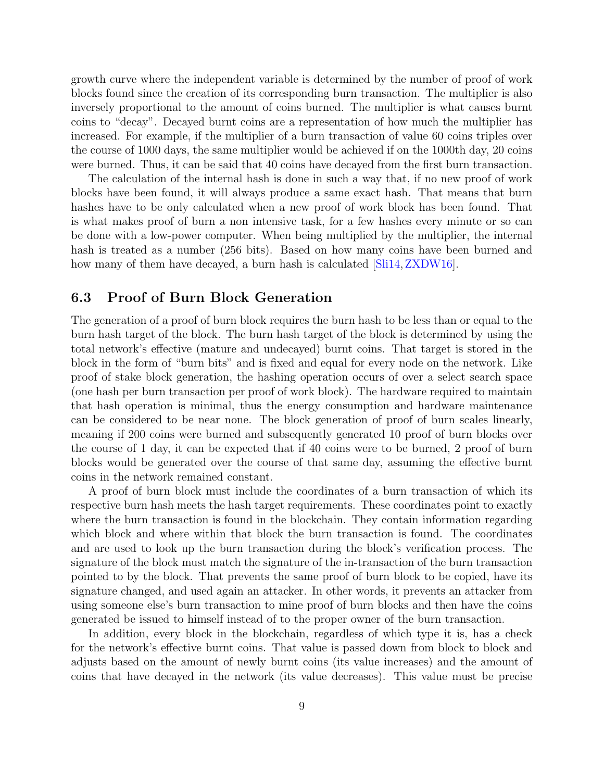growth curve where the independent variable is determined by the number of proof of work blocks found since the creation of its corresponding burn transaction. The multiplier is also inversely proportional to the amount of coins burned. The multiplier is what causes burnt coins to "decay". Decayed burnt coins are a representation of how much the multiplier has increased. For example, if the multiplier of a burn transaction of value 60 coins triples over the course of 1000 days, the same multiplier would be achieved if on the 1000th day, 20 coins were burned. Thus, it can be said that 40 coins have decayed from the first burn transaction.

The calculation of the internal hash is done in such a way that, if no new proof of work blocks have been found, it will always produce a same exact hash. That means that burn hashes have to be only calculated when a new proof of work block has been found. That is what makes proof of burn a non intensive task, for a few hashes every minute or so can be done with a low-power computer. When being multiplied by the multiplier, the internal hash is treated as a number (256 bits). Based on how many coins have been burned and how many of them have decayed, a burn hash is calculated  $[Sli14,ZXDW16]$  $[Sli14,ZXDW16]$ .

#### 6.3 Proof of Burn Block Generation

The generation of a proof of burn block requires the burn hash to be less than or equal to the burn hash target of the block. The burn hash target of the block is determined by using the total network's effective (mature and undecayed) burnt coins. That target is stored in the block in the form of "burn bits" and is fixed and equal for every node on the network. Like proof of stake block generation, the hashing operation occurs of over a select search space (one hash per burn transaction per proof of work block). The hardware required to maintain that hash operation is minimal, thus the energy consumption and hardware maintenance can be considered to be near none. The block generation of proof of burn scales linearly, meaning if 200 coins were burned and subsequently generated 10 proof of burn blocks over the course of 1 day, it can be expected that if 40 coins were to be burned, 2 proof of burn blocks would be generated over the course of that same day, assuming the effective burnt coins in the network remained constant.

A proof of burn block must include the coordinates of a burn transaction of which its respective burn hash meets the hash target requirements. These coordinates point to exactly where the burn transaction is found in the blockchain. They contain information regarding which block and where within that block the burn transaction is found. The coordinates and are used to look up the burn transaction during the block's verification process. The signature of the block must match the signature of the in-transaction of the burn transaction pointed to by the block. That prevents the same proof of burn block to be copied, have its signature changed, and used again an attacker. In other words, it prevents an attacker from using someone else's burn transaction to mine proof of burn blocks and then have the coins generated be issued to himself instead of to the proper owner of the burn transaction.

In addition, every block in the blockchain, regardless of which type it is, has a check for the network's effective burnt coins. That value is passed down from block to block and adjusts based on the amount of newly burnt coins (its value increases) and the amount of coins that have decayed in the network (its value decreases). This value must be precise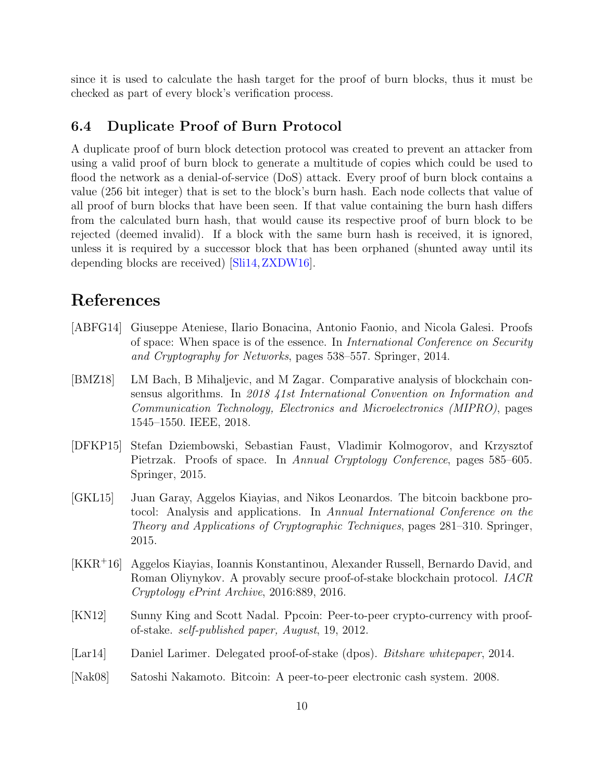since it is used to calculate the hash target for the proof of burn blocks, thus it must be checked as part of every block's verification process.

#### 6.4 Duplicate Proof of Burn Protocol

A duplicate proof of burn block detection protocol was created to prevent an attacker from using a valid proof of burn block to generate a multitude of copies which could be used to flood the network as a denial-of-service (DoS) attack. Every proof of burn block contains a value (256 bit integer) that is set to the block's burn hash. Each node collects that value of all proof of burn blocks that have been seen. If that value containing the burn hash differs from the calculated burn hash, that would cause its respective proof of burn block to be rejected (deemed invalid). If a block with the same burn hash is received, it is ignored, unless it is required by a successor block that has been orphaned (shunted away until its depending blocks are received) [\[Sli14,](#page-10-2)[ZXDW16\]](#page-10-3).

### References

- <span id="page-9-4"></span>[ABFG14] Giuseppe Ateniese, Ilario Bonacina, Antonio Faonio, and Nicola Galesi. Proofs of space: When space is of the essence. In *International Conference on Security* and Cryptography for Networks, pages 538–557. Springer, 2014.
- <span id="page-9-2"></span>[BMZ18] LM Bach, B Mihaljevic, and M Zagar. Comparative analysis of blockchain consensus algorithms. In 2018 41st International Convention on Information and Communication Technology, Electronics and Microelectronics (MIPRO), pages 1545–1550. IEEE, 2018.
- <span id="page-9-5"></span>[DFKP15] Stefan Dziembowski, Sebastian Faust, Vladimir Kolmogorov, and Krzysztof Pietrzak. Proofs of space. In Annual Cryptology Conference, pages 585–605. Springer, 2015.
- <span id="page-9-1"></span>[GKL15] Juan Garay, Aggelos Kiayias, and Nikos Leonardos. The bitcoin backbone protocol: Analysis and applications. In Annual International Conference on the Theory and Applications of Cryptographic Techniques, pages 281–310. Springer, 2015.
- <span id="page-9-3"></span>[KKR<sup>+</sup>16] Aggelos Kiayias, Ioannis Konstantinou, Alexander Russell, Bernardo David, and Roman Oliynykov. A provably secure proof-of-stake blockchain protocol. IACR Cryptology ePrint Archive, 2016:889, 2016.
- <span id="page-9-6"></span>[KN12] Sunny King and Scott Nadal. Ppcoin: Peer-to-peer crypto-currency with proofof-stake. self-published paper, August, 19, 2012.
- <span id="page-9-7"></span>[Lar14] Daniel Larimer. Delegated proof-of-stake (dpos). Bitshare whitepaper, 2014.
- <span id="page-9-0"></span>[Nak08] Satoshi Nakamoto. Bitcoin: A peer-to-peer electronic cash system. 2008.